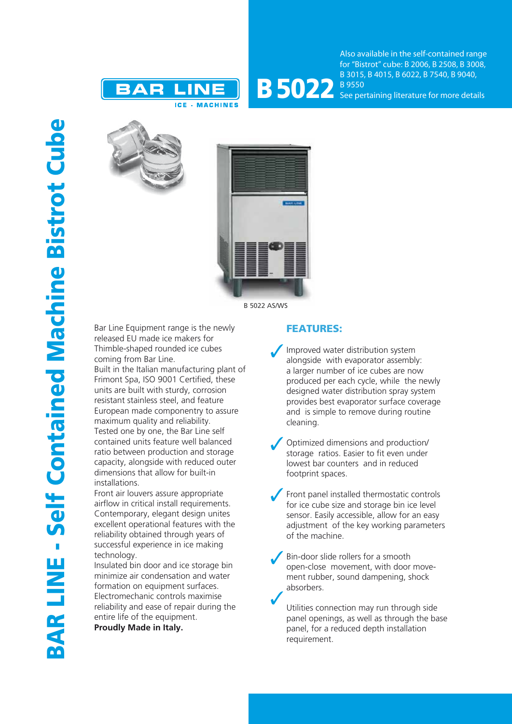



Also available in the self-contained range for "Bistrot" cube: B 2006, B 2508, B 3008, B 3015, B 4015, B 6022, B 7540, B 9040, See pertaining literature for more details





Bar Line Equipment range is the newly released EU made ice makers for Thimble-shaped rounded ice cubes coming from Bar Line.

Built in the Italian manufacturing plant of Frimont Spa, ISO 9001 Certified, these units are built with sturdy, corrosion resistant stainless steel, and feature European made componentry to assure maximum quality and reliability. Tested one by one, the Bar Line self contained units feature well balanced ratio between production and storage capacity, alongside with reduced outer dimensions that allow for built-in installations.

Front air louvers assure appropriate airflow in critical install requirements. Contemporary, elegant design unites excellent operational features with the reliability obtained through years of successful experience in ice making technology.

Insulated bin door and ice storage bin minimize air condensation and water formation on equipment surfaces. Electromechanic controls maximise reliability and ease of repair during the entire life of the equipment.

**Proudly Made in Italy.**

## FEATURES:

- Improved water distribution system alongside with evaporator assembly: a larger number of ice cubes are now produced per each cycle, while the newly designed water distribution spray system provides best evaporator surface coverage and is simple to remove during routine cleaning.
- Optimized dimensions and production/ storage ratios. Easier to fit even under lowest bar counters and in reduced footprint spaces.
- Front panel installed thermostatic controls for ice cube size and storage bin ice level sensor. Easily accessible, allow for an easy adjustment of the key working parameters of the machine.
- Bin-door slide rollers for a smooth open-close movement, with door movement rubber, sound dampening, shock absorbers.

Utilities connection may run through side panel openings, as well as through the base panel, for a reduced depth installation requirement.